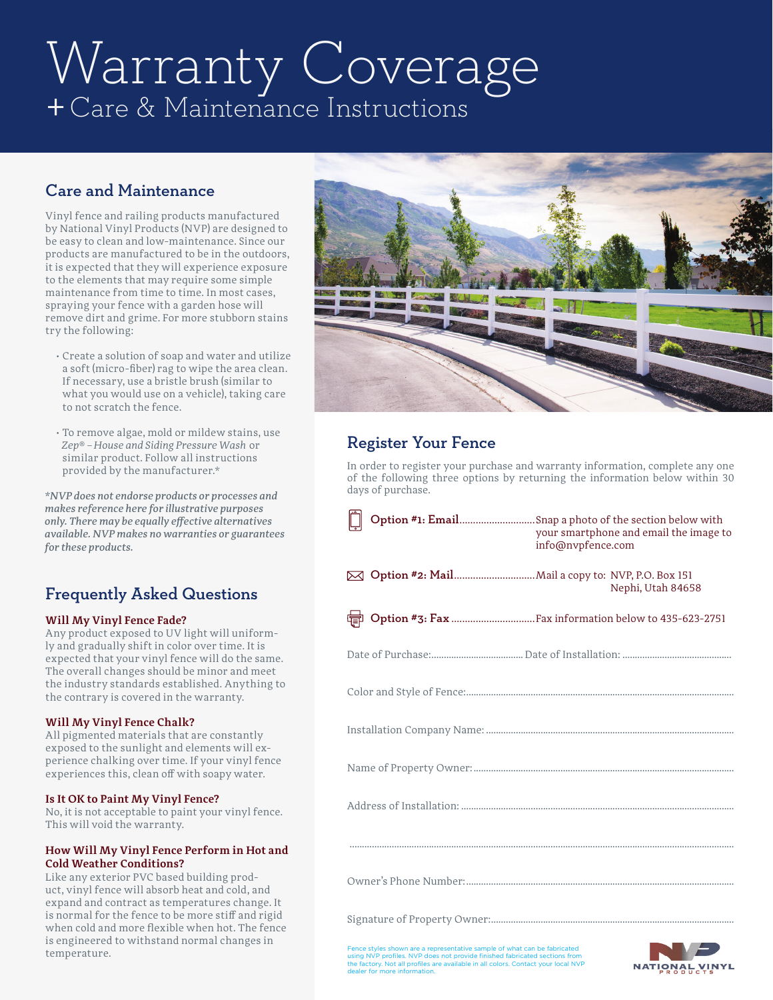# Warranty Coverage +Care & Maintenance Instructions

# Care and Maintenance

Vinyl fence and railing products manufactured by National Vinyl Products (NVP) are designed to be easy to clean and low-maintenance. Since our products are manufactured to be in the outdoors, it is expected that they will experience exposure to the elements that may require some simple maintenance from time to time. In most cases, spraying your fence with a garden hose will remove dirt and grime. For more stubborn stains try the following:

- Create a solution of soap and water and utilize a soft (micro-fiber) rag to wipe the area clean. If necessary, use a bristle brush (similar to what you would use on a vehicle), taking care to not scratch the fence.
- To remove algae, mold or mildew stains, use *Zep*® – *House and Siding Pressure Wash* or similar product. Follow all instructions provided by the manufacturer.\*

*\*NVP does not endorse products or processes and makes reference here for illustrative purposes only. There may be equally effective alternatives available. NVP makes no warranties or guarantees for these products.*

# Frequently Asked Questions

## **Will My Vinyl Fence Fade?**

Any product exposed to UV light will uniformly and gradually shift in color over time. It is expected that your vinyl fence will do the same. The overall changes should be minor and meet the industry standards established. Anything to the contrary is covered in the warranty.

## **Will My Vinyl Fence Chalk?**

All pigmented materials that are constantly exposed to the sunlight and elements will experience chalking over time. If your vinyl fence experiences this, clean off with soapy water.

## **Is It OK to Paint My Vinyl Fence?**

No, it is not acceptable to paint your vinyl fence. This will void the warranty.

#### **How Will My Vinyl Fence Perform in Hot and Cold Weather Conditions?**

Like any exterior PVC based building product, vinyl fence will absorb heat and cold, and expand and contract as temperatures change. It is normal for the fence to be more stiff and rigid when cold and more flexible when hot. The fence is engineered to withstand normal changes in temperature.



# Register Your Fence

In order to register your purchase and warranty information, complete any one of the following three options by returning the information below within 30 days of purchase.

|  | your smartphone and email the image to<br>info@nvpfence.com |
|--|-------------------------------------------------------------|
|  | Nephi, Utah 84658                                           |
|  |                                                             |
|  |                                                             |
|  |                                                             |
|  |                                                             |
|  |                                                             |
|  |                                                             |
|  |                                                             |
|  |                                                             |
|  |                                                             |

Fence styles shown are a representative sample of what can be fabricated<br>using NVP profiles. NVP does not provide finished fabricated sections from<br>the factory. Not all profiles are available in all colors. Contact your lo ler for more information